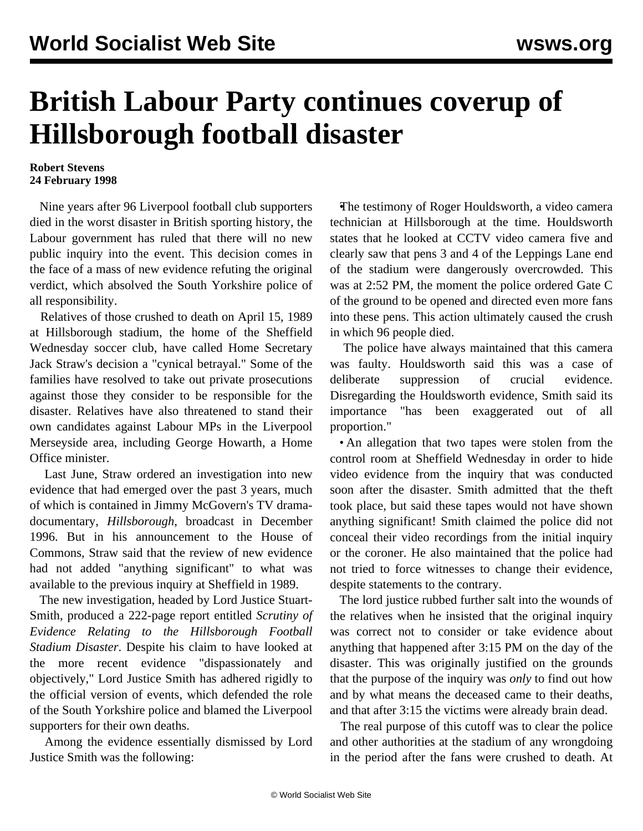## **British Labour Party continues coverup of Hillsborough football disaster**

## **Robert Stevens 24 February 1998**

 Nine years after 96 Liverpool football club supporters died in the worst disaster in British sporting history, the Labour government has ruled that there will no new public inquiry into the event. This decision comes in the face of a mass of new evidence refuting the original verdict, which absolved the South Yorkshire police of all responsibility.

 Relatives of those crushed to death on April 15, 1989 at Hillsborough stadium, the home of the Sheffield Wednesday soccer club, have called Home Secretary Jack Straw's decision a "cynical betrayal." Some of the families have resolved to take out private prosecutions against those they consider to be responsible for the disaster. Relatives have also threatened to stand their own candidates against Labour MPs in the Liverpool Merseyside area, including George Howarth, a Home Office minister.

 Last June, Straw ordered an investigation into new evidence that had emerged over the past 3 years, much of which is contained in Jimmy McGovern's TV dramadocumentary, *Hillsborough*, broadcast in December 1996. But in his announcement to the House of Commons, Straw said that the review of new evidence had not added "anything significant" to what was available to the previous inquiry at Sheffield in 1989.

 The new investigation, headed by Lord Justice Stuart-Smith, produced a 222-page report entitled *Scrutiny of Evidence Relating to the Hillsborough Football Stadium Disaster*. Despite his claim to have looked at the more recent evidence "dispassionately and objectively," Lord Justice Smith has adhered rigidly to the official version of events, which defended the role of the South Yorkshire police and blamed the Liverpool supporters for their own deaths.

 Among the evidence essentially dismissed by Lord Justice Smith was the following:

 •The testimony of Roger Houldsworth, a video camera technician at Hillsborough at the time. Houldsworth states that he looked at CCTV video camera five and clearly saw that pens 3 and 4 of the Leppings Lane end of the stadium were dangerously overcrowded. This was at 2:52 PM, the moment the police ordered Gate C of the ground to be opened and directed even more fans into these pens. This action ultimately caused the crush in which 96 people died.

 The police have always maintained that this camera was faulty. Houldsworth said this was a case of deliberate suppression of crucial evidence. Disregarding the Houldsworth evidence, Smith said its importance "has been exaggerated out of all proportion."

 • An allegation that two tapes were stolen from the control room at Sheffield Wednesday in order to hide video evidence from the inquiry that was conducted soon after the disaster. Smith admitted that the theft took place, but said these tapes would not have shown anything significant! Smith claimed the police did not conceal their video recordings from the initial inquiry or the coroner. He also maintained that the police had not tried to force witnesses to change their evidence, despite statements to the contrary.

 The lord justice rubbed further salt into the wounds of the relatives when he insisted that the original inquiry was correct not to consider or take evidence about anything that happened after 3:15 PM on the day of the disaster. This was originally justified on the grounds that the purpose of the inquiry was *only* to find out how and by what means the deceased came to their deaths, and that after 3:15 the victims were already brain dead.

 The real purpose of this cutoff was to clear the police and other authorities at the stadium of any wrongdoing in the period after the fans were crushed to death. At